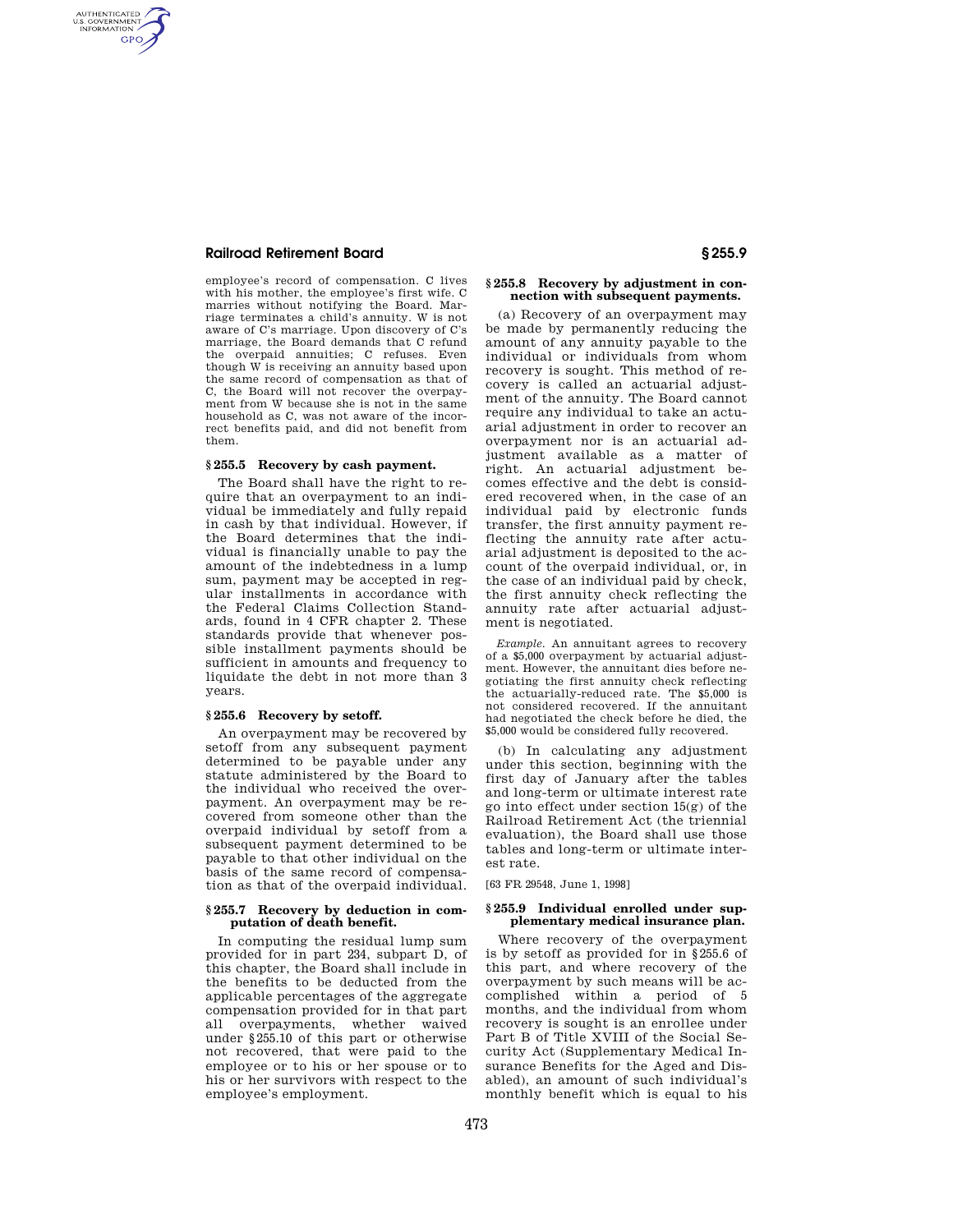## **Railroad Retirement Board § 255.9**

AUTHENTICATED<br>U.S. GOVERNMENT<br>INFORMATION **GPO** 

> employee's record of compensation. C lives with his mother, the employee's first wife. C marries without notifying the Board. Marriage terminates a child's annuity. W is not aware of C's marriage. Upon discovery of C's marriage, the Board demands that C refund the overpaid annuities; C refuses. Even though W is receiving an annuity based upon the same record of compensation as that of C, the Board will not recover the overpayment from W because she is not in the same household as C, was not aware of the incorrect benefits paid, and did not benefit from them.

### **§ 255.5 Recovery by cash payment.**

The Board shall have the right to require that an overpayment to an individual be immediately and fully repaid in cash by that individual. However, if the Board determines that the individual is financially unable to pay the amount of the indebtedness in a lump sum, payment may be accepted in regular installments in accordance with the Federal Claims Collection Standards, found in 4 CFR chapter 2. These standards provide that whenever possible installment payments should be sufficient in amounts and frequency to liquidate the debt in not more than 3 years.

### **§ 255.6 Recovery by setoff.**

An overpayment may be recovered by setoff from any subsequent payment determined to be payable under any statute administered by the Board to the individual who received the overpayment. An overpayment may be recovered from someone other than the overpaid individual by setoff from a subsequent payment determined to be payable to that other individual on the basis of the same record of compensation as that of the overpaid individual.

#### **§ 255.7 Recovery by deduction in computation of death benefit.**

In computing the residual lump sum provided for in part 234, subpart D, of this chapter, the Board shall include in the benefits to be deducted from the applicable percentages of the aggregate compensation provided for in that part all overpayments, whether waived under §255.10 of this part or otherwise not recovered, that were paid to the employee or to his or her spouse or to his or her survivors with respect to the employee's employment.

### **§ 255.8 Recovery by adjustment in connection with subsequent payments.**

(a) Recovery of an overpayment may be made by permanently reducing the amount of any annuity payable to the individual or individuals from whom recovery is sought. This method of recovery is called an actuarial adjustment of the annuity. The Board cannot require any individual to take an actuarial adjustment in order to recover an overpayment nor is an actuarial adjustment available as a matter of right. An actuarial adjustment becomes effective and the debt is considered recovered when, in the case of an individual paid by electronic funds transfer, the first annuity payment reflecting the annuity rate after actuarial adjustment is deposited to the account of the overpaid individual, or, in the case of an individual paid by check, the first annuity check reflecting the annuity rate after actuarial adjustment is negotiated.

*Example.* An annuitant agrees to recovery of a \$5,000 overpayment by actuarial adjustment. However, the annuitant dies before negotiating the first annuity check reflecting the actuarially-reduced rate. The \$5,000 is not considered recovered. If the annuitant had negotiated the check before he died, the \$5,000 would be considered fully recovered.

(b) In calculating any adjustment under this section, beginning with the first day of January after the tables and long-term or ultimate interest rate go into effect under section 15(g) of the Railroad Retirement Act (the triennial evaluation), the Board shall use those tables and long-term or ultimate interest rate.

[63 FR 29548, June 1, 1998]

#### **§ 255.9 Individual enrolled under supplementary medical insurance plan.**

Where recovery of the overpayment is by setoff as provided for in §255.6 of this part, and where recovery of the overpayment by such means will be accomplished within a period of 5 months, and the individual from whom recovery is sought is an enrollee under Part B of Title XVIII of the Social Security Act (Supplementary Medical Insurance Benefits for the Aged and Disabled), an amount of such individual's monthly benefit which is equal to his